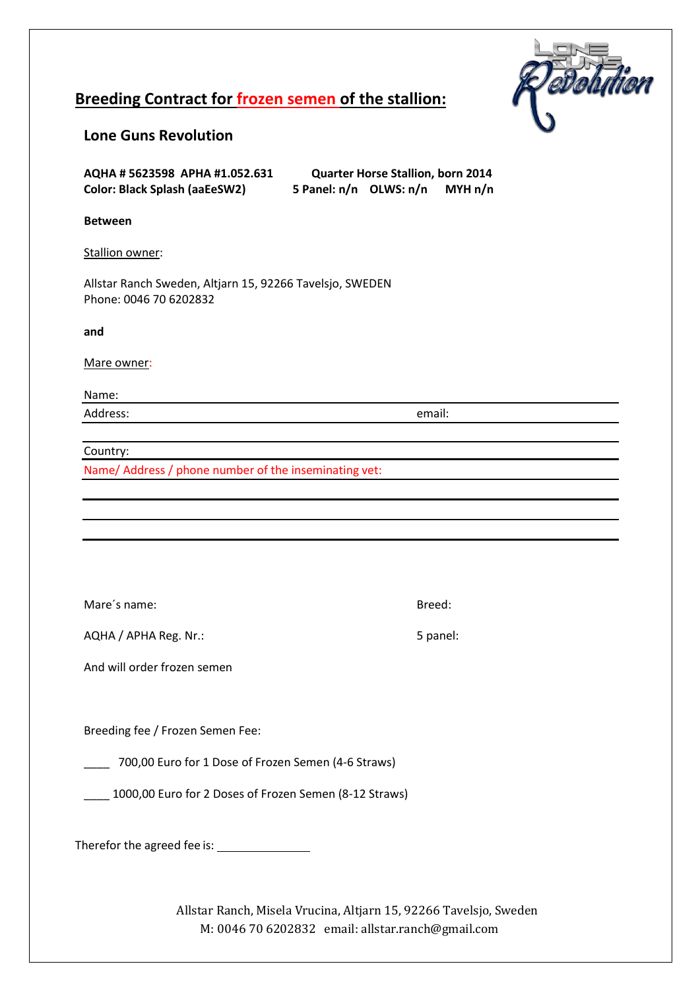

# **Breeding Contract for frozen semen of the stallion:**

## **Lone Guns Revolution**

| AQHA # 5623598 APHA #1.052.631       | <b>Quarter Horse Stallion, born 2014</b> |  |         |
|--------------------------------------|------------------------------------------|--|---------|
| <b>Color: Black Splash (aaEeSW2)</b> | 5 Panel: n/n OLWS: n/n                   |  | MYH n/n |

### **Between**

Stallion owner:

Allstar Ranch Sweden, Altjarn 15, 92266 Tavelsjo, SWEDEN Phone: 0046 70 6202832

#### **and**

Mare owner:

Name:

Address: email:

Country:

Name/ Address / phone number of the inseminating vet:

Mare's name: Breed:

AQHA / APHA Reg. Nr.: 5 panel:

And will order frozen semen

Breeding fee / Frozen Semen Fee:

\_\_\_\_ 700,00 Euro for 1 Dose of Frozen Semen (4-6 Straws)

\_\_\_\_ 1000,00 Euro for 2 Doses of Frozen Semen (8-12 Straws)

Therefor the agreed fee is:

Allstar Ranch, Misela Vrucina, Altjarn 15, 92266 Tavelsjo, Sweden M: 0046 70 6202832 email: allstar.ranch@gmail.com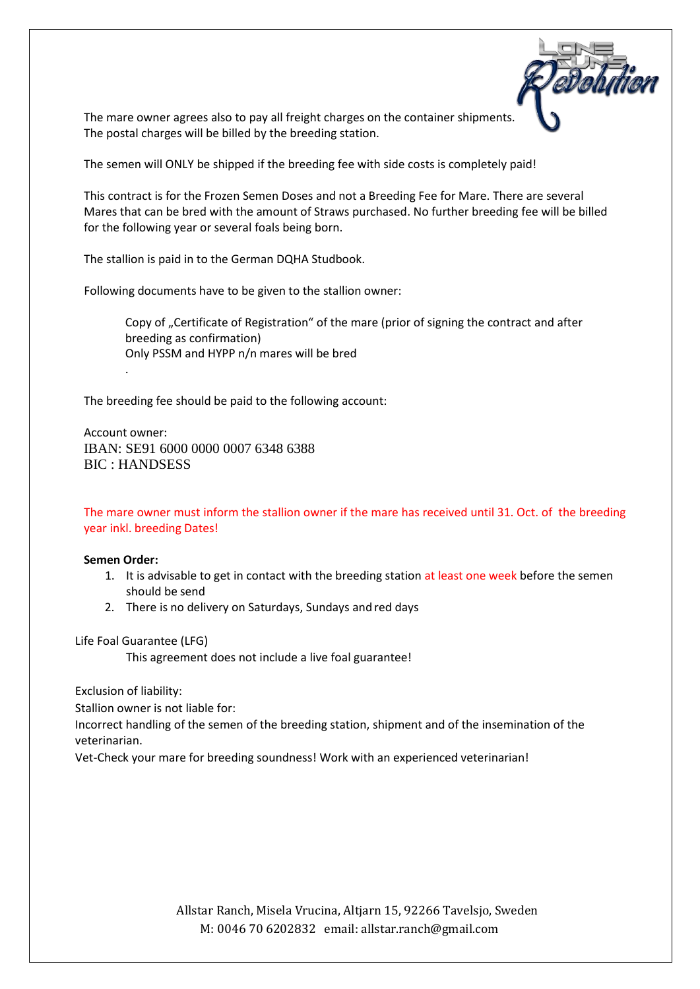

The mare owner agrees also to pay all freight charges on the container shipments. The postal charges will be billed by the breeding station.

The semen will ONLY be shipped if the breeding fee with side costs is completely paid!

This contract is for the Frozen Semen Doses and not a Breeding Fee for Mare. There are several Mares that can be bred with the amount of Straws purchased. No further breeding fee will be billed for the following year or several foals being born.

The stallion is paid in to the German DQHA Studbook.

Following documents have to be given to the stallion owner:

Copy of "Certificate of Registration" of the mare (prior of signing the contract and after breeding as confirmation) Only PSSM and HYPP n/n mares will be bred

The breeding fee should be paid to the following account:

Account owner: IBAN: SE91 6000 0000 0007 6348 6388 BIC : HANDSESS

The mare owner must inform the stallion owner if the mare has received until 31. Oct. of the breeding year inkl. breeding Dates!

#### **Semen Order:**

.

- 1. It is advisable to get in contact with the breeding station at least one week before the semen should be send
- 2. There is no delivery on Saturdays, Sundays and red days

Life Foal Guarantee (LFG)

This agreement does not include a live foal guarantee!

Exclusion of liability:

Stallion owner is not liable for:

Incorrect handling of the semen of the breeding station, shipment and of the insemination of the veterinarian.

Vet-Check your mare for breeding soundness! Work with an experienced veterinarian!

Allstar Ranch, Misela Vrucina, Altjarn 15, 92266 Tavelsjo, Sweden M: 0046 70 6202832 email: allstar.ranch@gmail.com